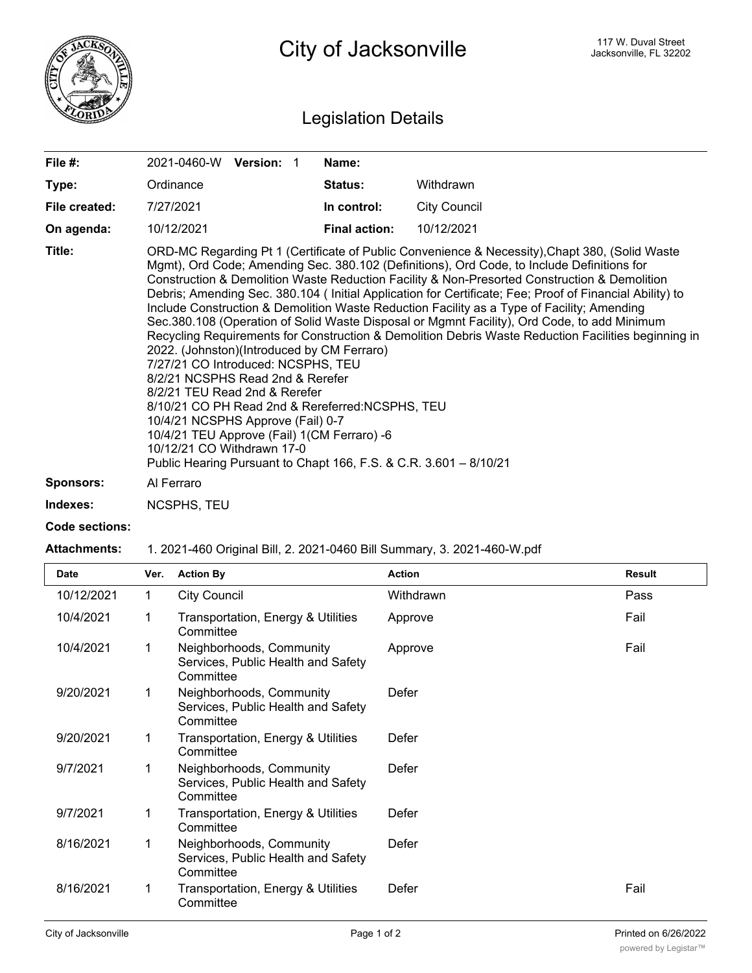

City of Jacksonville **City of Street** Jacksonville, FL 32202

## Legislation Details

| File #:          | <b>Version:</b><br>2021-0460-W                                                                                                                                                                                                                                                                                                                                                                                                                                                                                                                                                                                                                                                                                                                                                                                                                                                                                                                                                                                                                                                                                  | Name:                |                     |  |  |
|------------------|-----------------------------------------------------------------------------------------------------------------------------------------------------------------------------------------------------------------------------------------------------------------------------------------------------------------------------------------------------------------------------------------------------------------------------------------------------------------------------------------------------------------------------------------------------------------------------------------------------------------------------------------------------------------------------------------------------------------------------------------------------------------------------------------------------------------------------------------------------------------------------------------------------------------------------------------------------------------------------------------------------------------------------------------------------------------------------------------------------------------|----------------------|---------------------|--|--|
| Type:            | Ordinance                                                                                                                                                                                                                                                                                                                                                                                                                                                                                                                                                                                                                                                                                                                                                                                                                                                                                                                                                                                                                                                                                                       | <b>Status:</b>       | Withdrawn           |  |  |
| File created:    | 7/27/2021                                                                                                                                                                                                                                                                                                                                                                                                                                                                                                                                                                                                                                                                                                                                                                                                                                                                                                                                                                                                                                                                                                       | In control:          | <b>City Council</b> |  |  |
| On agenda:       | 10/12/2021                                                                                                                                                                                                                                                                                                                                                                                                                                                                                                                                                                                                                                                                                                                                                                                                                                                                                                                                                                                                                                                                                                      | <b>Final action:</b> | 10/12/2021          |  |  |
| Title:           | ORD-MC Regarding Pt 1 (Certificate of Public Convenience & Necessity), Chapt 380, (Solid Waste<br>Mgmt), Ord Code; Amending Sec. 380.102 (Definitions), Ord Code, to Include Definitions for<br>Construction & Demolition Waste Reduction Facility & Non-Presorted Construction & Demolition<br>Debris; Amending Sec. 380.104 (Initial Application for Certificate; Fee; Proof of Financial Ability) to<br>Include Construction & Demolition Waste Reduction Facility as a Type of Facility; Amending<br>Sec.380.108 (Operation of Solid Waste Disposal or Mgmnt Facility), Ord Code, to add Minimum<br>Recycling Requirements for Construction & Demolition Debris Waste Reduction Facilities beginning in<br>2022. (Johnston)(Introduced by CM Ferraro)<br>7/27/21 CO Introduced: NCSPHS, TEU<br>8/2/21 NCSPHS Read 2nd & Rerefer<br>8/2/21 TEU Read 2nd & Rerefer<br>8/10/21 CO PH Read 2nd & Rereferred: NCSPHS, TEU<br>10/4/21 NCSPHS Approve (Fail) 0-7<br>10/4/21 TEU Approve (Fail) 1(CM Ferraro) -6<br>10/12/21 CO Withdrawn 17-0<br>Public Hearing Pursuant to Chapt 166, F.S. & C.R. 3.601 - 8/10/21 |                      |                     |  |  |
| <b>Sponsors:</b> | Al Ferraro                                                                                                                                                                                                                                                                                                                                                                                                                                                                                                                                                                                                                                                                                                                                                                                                                                                                                                                                                                                                                                                                                                      |                      |                     |  |  |
| Indexes:         | <b>NCSPHS, TEU</b>                                                                                                                                                                                                                                                                                                                                                                                                                                                                                                                                                                                                                                                                                                                                                                                                                                                                                                                                                                                                                                                                                              |                      |                     |  |  |

**Code sections:**

## **Attachments:** 1. 2021-460 Original Bill, 2. 2021-0460 Bill Summary, 3. 2021-460-W.pdf

| <b>Date</b> | Ver. | <b>Action By</b>                                                            | <b>Action</b> | <b>Result</b> |
|-------------|------|-----------------------------------------------------------------------------|---------------|---------------|
| 10/12/2021  | 1    | <b>City Council</b>                                                         | Withdrawn     | Pass          |
| 10/4/2021   |      | Transportation, Energy & Utilities<br>Committee                             | Approve       | Fail          |
| 10/4/2021   |      | Neighborhoods, Community<br>Services, Public Health and Safety<br>Committee | Approve       | Fail          |
| 9/20/2021   |      | Neighborhoods, Community<br>Services, Public Health and Safety<br>Committee | Defer         |               |
| 9/20/2021   |      | Transportation, Energy & Utilities<br>Committee                             | Defer         |               |
| 9/7/2021    |      | Neighborhoods, Community<br>Services, Public Health and Safety<br>Committee | Defer         |               |
| 9/7/2021    |      | Transportation, Energy & Utilities<br>Committee                             | Defer         |               |
| 8/16/2021   |      | Neighborhoods, Community<br>Services, Public Health and Safety<br>Committee | Defer         |               |
| 8/16/2021   |      | Transportation, Energy & Utilities<br>Committee                             | Defer         | Fail          |